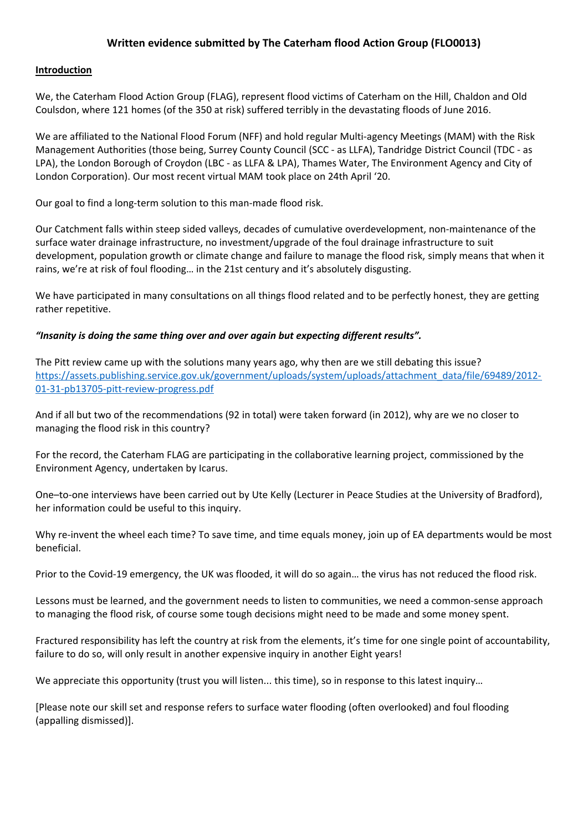# **Written evidence submitted by The Caterham flood Action Group (FLO0013)**

#### **Introduction**

We, the Caterham Flood Action Group (FLAG), represent flood victims of Caterham on the Hill, Chaldon and Old Coulsdon, where 121 homes (of the 350 at risk) suffered terribly in the devastating floods of June 2016.

We are affiliated to the National Flood Forum (NFF) and hold regular Multi-agency Meetings (MAM) with the Risk Management Authorities (those being, Surrey County Council (SCC - as LLFA), Tandridge District Council (TDC - as LPA), the London Borough of Croydon (LBC - as LLFA & LPA), Thames Water, The Environment Agency and City of London Corporation). Our most recent virtual MAM took place on 24th April '20.

Our goal to find a long-term solution to this man-made flood risk.

Our Catchment falls within steep sided valleys, decades of cumulative overdevelopment, non-maintenance of the surface water drainage infrastructure, no investment/upgrade of the foul drainage infrastructure to suit development, population growth or climate change and failure to manage the flood risk, simply means that when it rains, we're at risk of foul flooding… in the 21st century and it's absolutely disgusting.

We have participated in many consultations on all things flood related and to be perfectly honest, they are getting rather repetitive.

## *"Insanity is doing the same thing over and over again but expecting different results".*

The Pitt review came up with the solutions many years ago, why then are we still debating this issue? [https://assets.publishing.service.gov.uk/government/uploads/system/uploads/attachment\\_data/file/69489/2012-](https://assets.publishing.service.gov.uk/government/uploads/system/uploads/attachment_data/file/69489/2012-01-31-pb13705-pitt-review-progress.pdf) [01-31-pb13705-pitt-review-progress.pdf](https://assets.publishing.service.gov.uk/government/uploads/system/uploads/attachment_data/file/69489/2012-01-31-pb13705-pitt-review-progress.pdf)

And if all but two of the recommendations (92 in total) were taken forward (in 2012), why are we no closer to managing the flood risk in this country?

For the record, the Caterham FLAG are participating in the collaborative learning project, commissioned by the Environment Agency, undertaken by Icarus.

One–to-one interviews have been carried out by Ute Kelly (Lecturer in Peace Studies at the University of Bradford), her information could be useful to this inquiry.

Why re-invent the wheel each time? To save time, and time equals money, join up of EA departments would be most beneficial.

Prior to the Covid-19 emergency, the UK was flooded, it will do so again… the virus has not reduced the flood risk.

Lessons must be learned, and the government needs to listen to communities, we need a common-sense approach to managing the flood risk, of course some tough decisions might need to be made and some money spent.

Fractured responsibility has left the country at risk from the elements, it's time for one single point of accountability, failure to do so, will only result in another expensive inquiry in another Eight years!

We appreciate this opportunity (trust you will listen... this time), so in response to this latest inquiry...

[Please note our skill set and response refers to surface water flooding (often overlooked) and foul flooding (appalling dismissed)].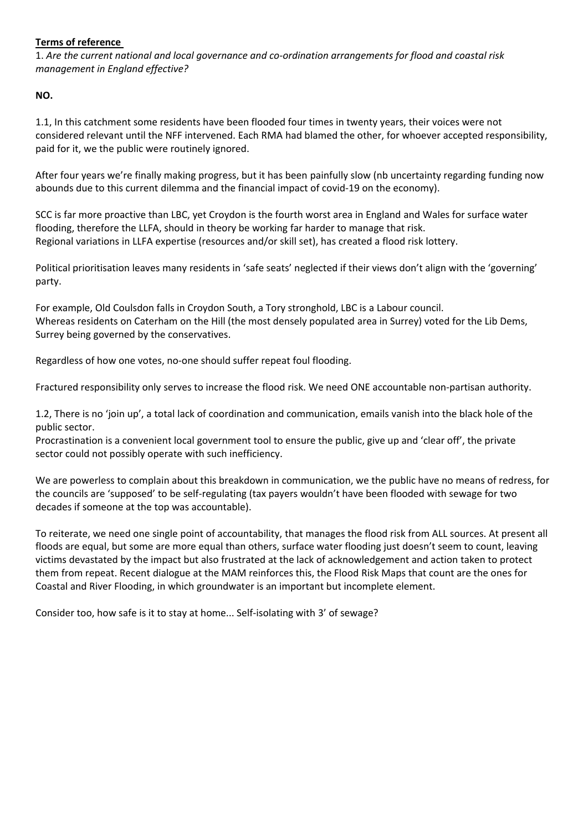## **Terms of reference**

1. *Are the current national and local governance and co-ordination arrangements for flood and coastal risk management in England effective?*

# **NO.**

1.1, In this catchment some residents have been flooded four times in twenty years, their voices were not considered relevant until the NFF intervened. Each RMA had blamed the other, for whoever accepted responsibility, paid for it, we the public were routinely ignored.

After four years we're finally making progress, but it has been painfully slow (nb uncertainty regarding funding now abounds due to this current dilemma and the financial impact of covid-19 on the economy).

SCC is far more proactive than LBC, yet Croydon is the fourth worst area in England and Wales for surface water flooding, therefore the LLFA, should in theory be working far harder to manage that risk. Regional variations in LLFA expertise (resources and/or skill set), has created a flood risk lottery.

Political prioritisation leaves many residents in 'safe seats' neglected if their views don't align with the 'governing' party.

For example, Old Coulsdon falls in Croydon South, a Tory stronghold, LBC is a Labour council. Whereas residents on Caterham on the Hill (the most densely populated area in Surrey) voted for the Lib Dems, Surrey being governed by the conservatives.

Regardless of how one votes, no-one should suffer repeat foul flooding.

Fractured responsibility only serves to increase the flood risk. We need ONE accountable non-partisan authority.

1.2, There is no 'join up', a total lack of coordination and communication, emails vanish into the black hole of the public sector.

Procrastination is a convenient local government tool to ensure the public, give up and 'clear off', the private sector could not possibly operate with such inefficiency.

We are powerless to complain about this breakdown in communication, we the public have no means of redress, for the councils are 'supposed' to be self-regulating (tax payers wouldn't have been flooded with sewage for two decades if someone at the top was accountable).

To reiterate, we need one single point of accountability, that manages the flood risk from ALL sources. At present all floods are equal, but some are more equal than others, surface water flooding just doesn't seem to count, leaving victims devastated by the impact but also frustrated at the lack of acknowledgement and action taken to protect them from repeat. Recent dialogue at the MAM reinforces this, the Flood Risk Maps that count are the ones for Coastal and River Flooding, in which groundwater is an important but incomplete element.

Consider too, how safe is it to stay at home... Self-isolating with 3' of sewage?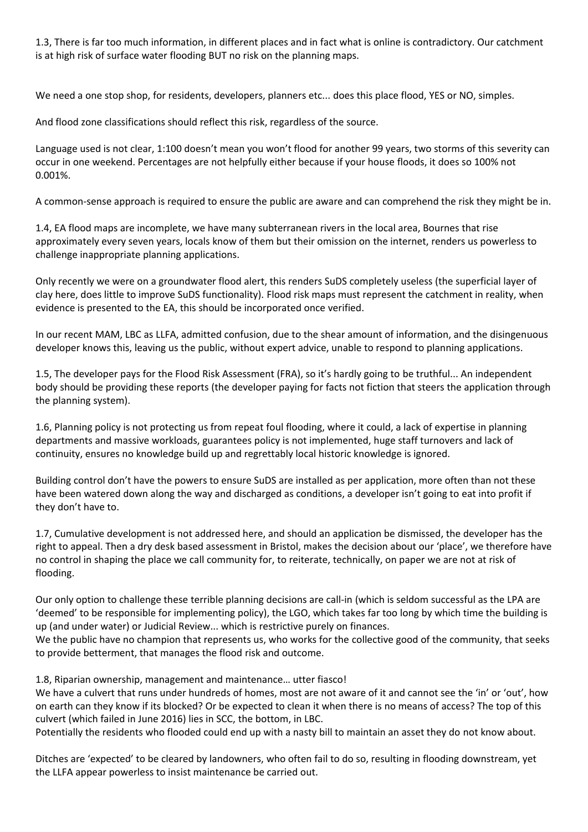1.3, There is far too much information, in different places and in fact what is online is contradictory. Our catchment is at high risk of surface water flooding BUT no risk on the planning maps.

We need a one stop shop, for residents, developers, planners etc... does this place flood, YES or NO, simples.

And flood zone classifications should reflect this risk, regardless of the source.

Language used is not clear, 1:100 doesn't mean you won't flood for another 99 years, two storms of this severity can occur in one weekend. Percentages are not helpfully either because if your house floods, it does so 100% not 0.001%.

A common-sense approach is required to ensure the public are aware and can comprehend the risk they might be in.

1.4, EA flood maps are incomplete, we have many subterranean rivers in the local area, Bournes that rise approximately every seven years, locals know of them but their omission on the internet, renders us powerless to challenge inappropriate planning applications.

Only recently we were on a groundwater flood alert, this renders SuDS completely useless (the superficial layer of clay here, does little to improve SuDS functionality). Flood risk maps must represent the catchment in reality, when evidence is presented to the EA, this should be incorporated once verified.

In our recent MAM, LBC as LLFA, admitted confusion, due to the shear amount of information, and the disingenuous developer knows this, leaving us the public, without expert advice, unable to respond to planning applications.

1.5, The developer pays for the Flood Risk Assessment (FRA), so it's hardly going to be truthful... An independent body should be providing these reports (the developer paying for facts not fiction that steers the application through the planning system).

1.6, Planning policy is not protecting us from repeat foul flooding, where it could, a lack of expertise in planning departments and massive workloads, guarantees policy is not implemented, huge staff turnovers and lack of continuity, ensures no knowledge build up and regrettably local historic knowledge is ignored.

Building control don't have the powers to ensure SuDS are installed as per application, more often than not these have been watered down along the way and discharged as conditions, a developer isn't going to eat into profit if they don't have to.

1.7, Cumulative development is not addressed here, and should an application be dismissed, the developer has the right to appeal. Then a dry desk based assessment in Bristol, makes the decision about our 'place', we therefore have no control in shaping the place we call community for, to reiterate, technically, on paper we are not at risk of flooding.

Our only option to challenge these terrible planning decisions are call-in (which is seldom successful as the LPA are 'deemed' to be responsible for implementing policy), the LGO, which takes far too long by which time the building is up (and under water) or Judicial Review... which is restrictive purely on finances.

We the public have no champion that represents us, who works for the collective good of the community, that seeks to provide betterment, that manages the flood risk and outcome.

1.8, Riparian ownership, management and maintenance… utter fiasco!

We have a culvert that runs under hundreds of homes, most are not aware of it and cannot see the 'in' or 'out', how on earth can they know if its blocked? Or be expected to clean it when there is no means of access? The top of this culvert (which failed in June 2016) lies in SCC, the bottom, in LBC.

Potentially the residents who flooded could end up with a nasty bill to maintain an asset they do not know about.

Ditches are 'expected' to be cleared by landowners, who often fail to do so, resulting in flooding downstream, yet the LLFA appear powerless to insist maintenance be carried out.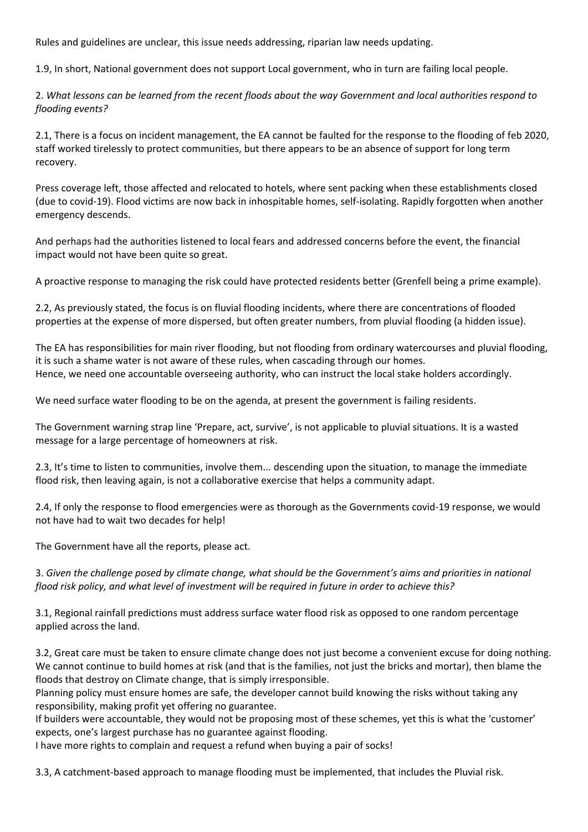Rules and guidelines are unclear, this issue needs addressing, riparian law needs updating.

1.9, In short, National government does not support Local government, who in turn are failing local people.

2. What lessons can be learned from the recent floods about the way Government and local authorities respond to *flooding events?*

2.1, There is a focus on incident management, the EA cannot be faulted for the response to the flooding of feb 2020, staff worked tirelessly to protect communities, but there appears to be an absence of support for long term recovery.

Press coverage left, those affected and relocated to hotels, where sent packing when these establishments closed (due to covid-19). Flood victims are now back in inhospitable homes, self-isolating. Rapidly forgotten when another emergency descends.

And perhaps had the authorities listened to local fears and addressed concerns before the event, the financial impact would not have been quite so great.

A proactive response to managing the risk could have protected residents better (Grenfell being a prime example).

2.2, As previously stated, the focus is on fluvial flooding incidents, where there are concentrations of flooded properties at the expense of more dispersed, but often greater numbers, from pluvial flooding (a hidden issue).

The EA has responsibilities for main river flooding, but not flooding from ordinary watercourses and pluvial flooding, it is such a shame water is not aware of these rules, when cascading through our homes. Hence, we need one accountable overseeing authority, who can instruct the local stake holders accordingly.

We need surface water flooding to be on the agenda, at present the government is failing residents.

The Government warning strap line 'Prepare, act, survive', is not applicable to pluvial situations. It is a wasted message for a large percentage of homeowners at risk.

2.3, It's time to listen to communities, involve them... descending upon the situation, to manage the immediate flood risk, then leaving again, is not a collaborative exercise that helps a community adapt.

2.4, If only the response to flood emergencies were as thorough as the Governments covid-19 response, we would not have had to wait two decades for help!

The Government have all the reports, please act.

3. Given the challenge posed by climate change, what should be the Government's aims and priorities in national flood risk policy, and what level of investment will be required in future in order to achieve this?

3.1, Regional rainfall predictions must address surface water flood risk as opposed to one random percentage applied across the land.

3.2, Great care must be taken to ensure climate change does not just become a convenient excuse for doing nothing. We cannot continue to build homes at risk (and that is the families, not just the bricks and mortar), then blame the floods that destroy on Climate change, that is simply irresponsible.

Planning policy must ensure homes are safe, the developer cannot build knowing the risks without taking any responsibility, making profit yet offering no guarantee.

If builders were accountable, they would not be proposing most of these schemes, yet this is what the 'customer' expects, one's largest purchase has no guarantee against flooding.

I have more rights to complain and request a refund when buying a pair of socks!

3.3, A catchment-based approach to manage flooding must be implemented, that includes the Pluvial risk.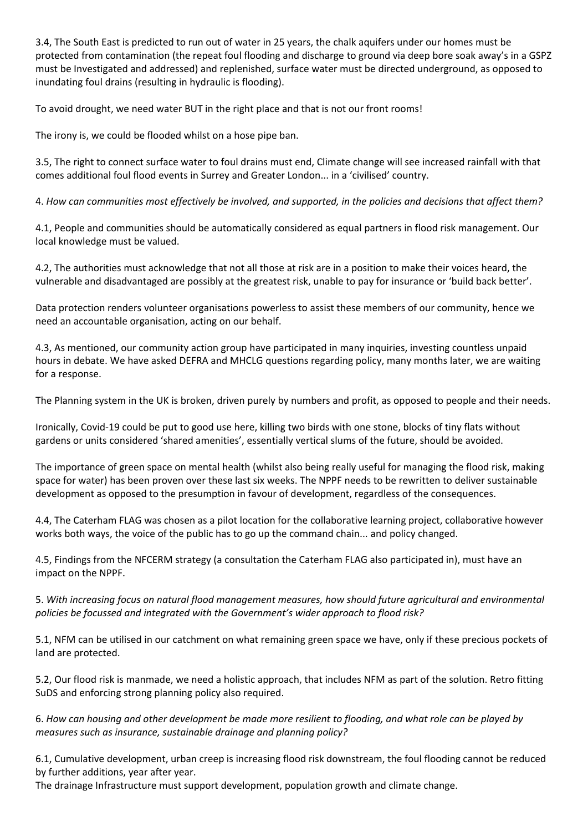3.4, The South East is predicted to run out of water in 25 years, the chalk aquifers under our homes must be protected from contamination (the repeat foul flooding and discharge to ground via deep bore soak away's in a GSPZ must be Investigated and addressed) and replenished, surface water must be directed underground, as opposed to inundating foul drains (resulting in hydraulic is flooding).

To avoid drought, we need water BUT in the right place and that is not our front rooms!

The irony is, we could be flooded whilst on a hose pipe ban.

3.5, The right to connect surface water to foul drains must end, Climate change will see increased rainfall with that comes additional foul flood events in Surrey and Greater London... in a 'civilised' country.

4. How can communities most effectively be involved, and supported, in the policies and decisions that affect them?

4.1, People and communities should be automatically considered as equal partners in flood risk management. Our local knowledge must be valued.

4.2, The authorities must acknowledge that not all those at risk are in a position to make their voices heard, the vulnerable and disadvantaged are possibly at the greatest risk, unable to pay for insurance or 'build back better'.

Data protection renders volunteer organisations powerless to assist these members of our community, hence we need an accountable organisation, acting on our behalf.

4.3, As mentioned, our community action group have participated in many inquiries, investing countless unpaid hours in debate. We have asked DEFRA and MHCLG questions regarding policy, many months later, we are waiting for a response.

The Planning system in the UK is broken, driven purely by numbers and profit, as opposed to people and their needs.

Ironically, Covid-19 could be put to good use here, killing two birds with one stone, blocks of tiny flats without gardens or units considered 'shared amenities', essentially vertical slums of the future, should be avoided.

The importance of green space on mental health (whilst also being really useful for managing the flood risk, making space for water) has been proven over these last six weeks. The NPPF needs to be rewritten to deliver sustainable development as opposed to the presumption in favour of development, regardless of the consequences.

4.4, The Caterham FLAG was chosen as a pilot location for the collaborative learning project, collaborative however works both ways, the voice of the public has to go up the command chain... and policy changed.

4.5, Findings from the NFCERM strategy (a consultation the Caterham FLAG also participated in), must have an impact on the NPPF.

5. *With increasing focus on natural flood management measures, how should future agricultural and environmental policies be focussed and integrated with the Government's wider approach to flood risk?*

5.1, NFM can be utilised in our catchment on what remaining green space we have, only if these precious pockets of land are protected.

5.2, Our flood risk is manmade, we need a holistic approach, that includes NFM as part of the solution. Retro fitting SuDS and enforcing strong planning policy also required.

6. How can housing and other development be made more resilient to flooding, and what role can be played by *measures such as insurance, sustainable drainage and planning policy?*

6.1, Cumulative development, urban creep is increasing flood risk downstream, the foul flooding cannot be reduced by further additions, year after year.

The drainage Infrastructure must support development, population growth and climate change.